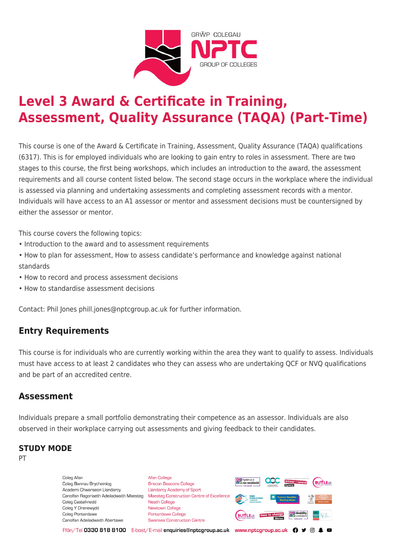

# **Level 3 Award & Certificate in Training, Assessment, Quality Assurance (TAQA) (Part-Time)**

This course is one of the Award & Certificate in Training, Assessment, Quality Assurance (TAQA) qualifications (6317). This is for employed individuals who are looking to gain entry to roles in assessment. There are two stages to this course, the first being workshops, which includes an introduction to the award, the assessment requirements and all course content listed below. The second stage occurs in the workplace where the individual is assessed via planning and undertaking assessments and completing assessment records with a mentor. Individuals will have access to an A1 assessor or mentor and assessment decisions must be countersigned by either the assessor or mentor.

This course covers the following topics:

- Introduction to the award and to assessment requirements
- How to plan for assessment, How to assess candidate's performance and knowledge against national standards
- How to record and process assessment decisions
- How to standardise assessment decisions

Contact: Phil Jones phill.jones@nptcgroup.ac.uk for further information.

## **Entry Requirements**

This course is for individuals who are currently working within the area they want to qualify to assess. Individuals must have access to at least 2 candidates who they can assess who are undertaking QCF or NVQ qualifications and be part of an accredited centre.

### **Assessment**

Individuals prepare a small portfolio demonstrating their competence as an assessor. Individuals are also observed in their workplace carrying out assessments and giving feedback to their candidates.

#### **STUDY MODE**

PT

Coleg Afan Coleg Bannau Brycheiniog Academi Chwaraeon Llandarcy Coleg Castell-nedd Coleg Y Drenewydd Coleg Pontardawe Canolfan Adeiladwaith Abertawe

**Afan College** Brecon Beacons College **Llandarcy Academy of Sport** Canolfan Ragoriaeth Adeiladwaith Maesteg Maesteg Construction Centre of Excellence Neath College Newtown College Pontardawe College Swansea Construction Centre



Ffôn/Tel 0330 818 8100 E-bost/E-mail enquiries@nptcgroup.ac.uk www.nptcgroup.ac.uk ? • © \$